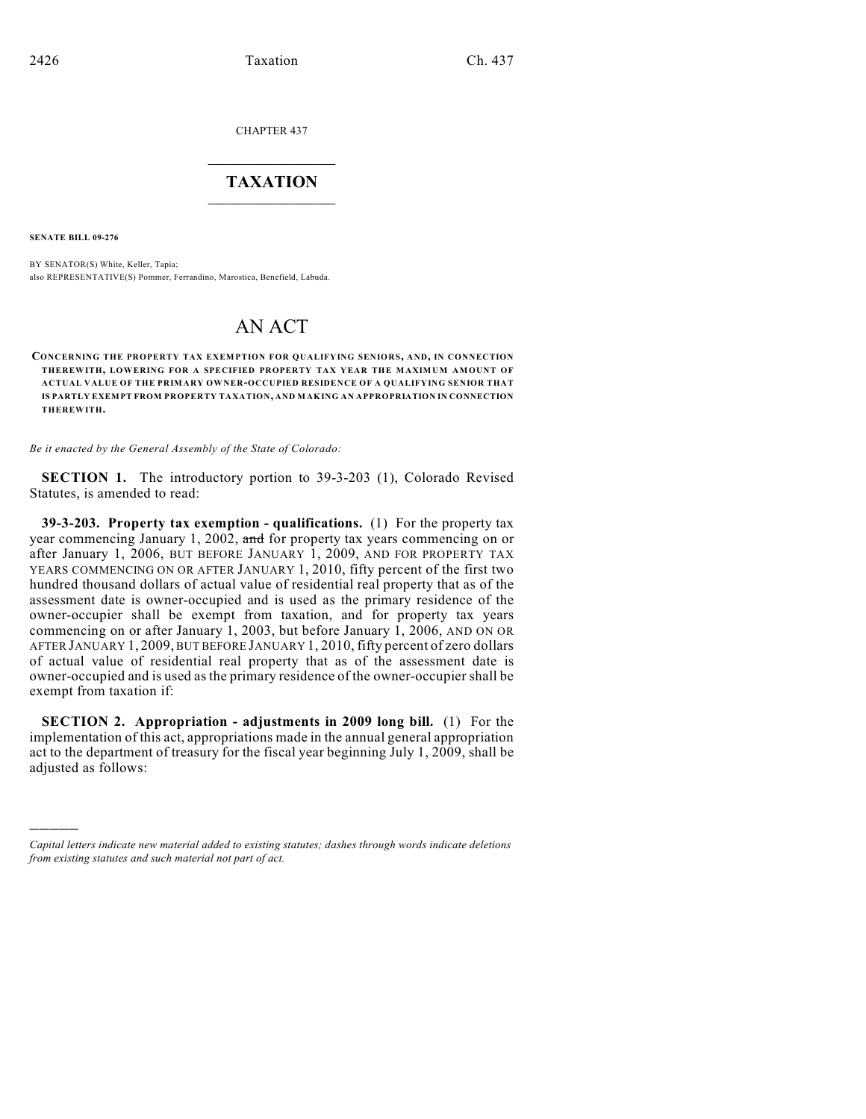CHAPTER 437

## $\overline{\phantom{a}}$  . The set of the set of the set of the set of the set of the set of the set of the set of the set of the set of the set of the set of the set of the set of the set of the set of the set of the set of the set o **TAXATION**  $\_$

**SENATE BILL 09-276**

)))))

BY SENATOR(S) White, Keller, Tapia; also REPRESENTATIVE(S) Pommer, Ferrandino, Marostica, Benefield, Labuda.

## AN ACT

**CONCERNING THE PROPERTY TAX EXEMPTION FOR QUALIFYING SENIORS, AND, IN CONNECTION THEREWITH, LOWERING FOR A SPECIFIED PROPERTY TAX YEAR THE MAXIMUM AMOUNT OF ACTUAL VALUE OF THE PRIMARY OWNER-OCCUPIED RESIDENCE OF A QUALIFYING SENIOR THAT IS PARTLY EXEMPT FROM PROPERTY TAXATION, AND MAKING AN APPROPRIATION IN CONNECTION THEREWITH.**

*Be it enacted by the General Assembly of the State of Colorado:*

**SECTION 1.** The introductory portion to 39-3-203 (1), Colorado Revised Statutes, is amended to read:

**39-3-203. Property tax exemption - qualifications.** (1) For the property tax year commencing January 1, 2002, and for property tax years commencing on or after January 1, 2006, BUT BEFORE JANUARY 1, 2009, AND FOR PROPERTY TAX YEARS COMMENCING ON OR AFTER JANUARY 1, 2010, fifty percent of the first two hundred thousand dollars of actual value of residential real property that as of the assessment date is owner-occupied and is used as the primary residence of the owner-occupier shall be exempt from taxation, and for property tax years commencing on or after January 1, 2003, but before January 1, 2006, AND ON OR AFTER JANUARY 1, 2009, BUT BEFORE JANUARY 1, 2010, fifty percent of zero dollars of actual value of residential real property that as of the assessment date is owner-occupied and is used as the primary residence of the owner-occupier shall be exempt from taxation if:

**SECTION 2. Appropriation - adjustments in 2009 long bill.** (1) For the implementation of this act, appropriations made in the annual general appropriation act to the department of treasury for the fiscal year beginning July 1, 2009, shall be adjusted as follows:

*Capital letters indicate new material added to existing statutes; dashes through words indicate deletions from existing statutes and such material not part of act.*